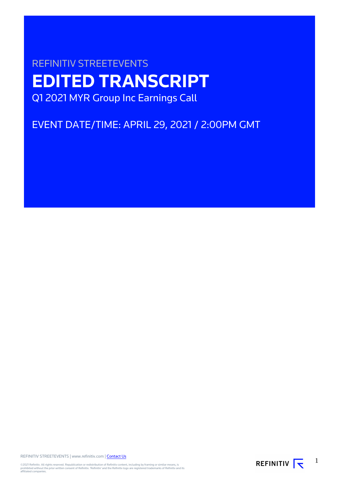# REFINITIV STREETEVENTS **EDITED TRANSCRIPT** Q1 2021 MYR Group Inc Earnings Call

EVENT DATE/TIME: APRIL 29, 2021 / 2:00PM GMT

REFINITIV STREETEVENTS | www.refinitiv.com | [Contact Us](https://www.refinitiv.com/en/contact-us)

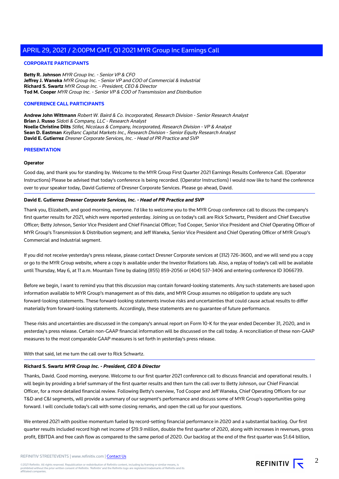# **CORPORATE PARTICIPANTS**

**Betty R. Johnson** MYR Group Inc. - Senior VP & CFO **Jeffrey J. Waneka** MYR Group Inc. - Senior VP and COO of Commercial & Industrial **Richard S. Swartz** MYR Group Inc. - President, CEO & Director **Tod M. Cooper** MYR Group Inc. - Senior VP & COO of Transmission and Distribution

# **CONFERENCE CALL PARTICIPANTS**

**Andrew John Wittmann** Robert W. Baird & Co. Incorporated, Research Division - Senior Research Analyst **Brian J. Russo** Sidoti & Company, LLC - Research Analyst **Noelle Christine Dilts** Stifel, Nicolaus & Company, Incorporated, Research Division - VP & Analyst **Sean D. Eastman** KeyBanc Capital Markets Inc., Research Division - Senior Equity Research Analyst **David E. Gutierrez** Dresner Corporate Services, Inc. - Head of PR Practice and SVP

# **PRESENTATION**

# **Operator**

Good day, and thank you for standing by. Welcome to the MYR Group First Quarter 2021 Earnings Results Conference Call. (Operator Instructions) Please be advised that today's conference is being recorded. (Operator Instructions) I would now like to hand the conference over to your speaker today, David Gutierrez of Dresner Corporate Services. Please go ahead, David.

# **David E. Gutierrez Dresner Corporate Services, Inc. - Head of PR Practice and SVP**

Thank you, Elizabeth, and good morning, everyone. I'd like to welcome you to the MYR Group conference call to discuss the company's first quarter results for 2021, which were reported yesterday. Joining us on today's call are Rick Schwartz, President and Chief Executive Officer; Betty Johnson, Senior Vice President and Chief Financial Officer; Tod Cooper, Senior Vice President and Chief Operating Officer of MYR Group's Transmission & Distribution segment; and Jeff Waneka, Senior Vice President and Chief Operating Officer of MYR Group's Commercial and Industrial segment.

If you did not receive yesterday's press release, please contact Dresner Corporate services at (312) 726-3600, and we will send you a copy or go to the MYR Group website, where a copy is available under the Investor Relations tab. Also, a replay of today's call will be available until Thursday, May 6, at 11 a.m. Mountain Time by dialing (855) 859-2056 or (404) 537-3406 and entering conference ID 3066739.

Before we begin, I want to remind you that this discussion may contain forward-looking statements. Any such statements are based upon information available to MYR Group's management as of this date, and MYR Group assumes no obligation to update any such forward-looking statements. These forward-looking statements involve risks and uncertainties that could cause actual results to differ materially from forward-looking statements. Accordingly, these statements are no guarantee of future performance.

These risks and uncertainties are discussed in the company's annual report on Form 10-K for the year ended December 31, 2020, and in yesterday's press release. Certain non-GAAP financial information will be discussed on the call today. A reconciliation of these non-GAAP measures to the most comparable GAAP measures is set forth in yesterday's press release.

With that said, let me turn the call over to Rick Schwartz.

#### **Richard S. Swartz MYR Group Inc. - President, CEO & Director**

Thanks, David. Good morning, everyone. Welcome to our first quarter 2021 conference call to discuss financial and operational results. I will begin by providing a brief summary of the first quarter results and then turn the call over to Betty Johnson, our Chief Financial Officer, for a more detailed financial review. Following Betty's overview, Tod Cooper and Jeff Waneka, Chief Operating Officers for our T&D and C&I segments, will provide a summary of our segment's performance and discuss some of MYR Group's opportunities going forward. I will conclude today's call with some closing remarks, and open the call up for your questions.

We entered 2021 with positive momentum fueled by record-setting financial performance in 2020 and a substantial backlog. Our first quarter results included record high net income of \$19.9 million, double the first quarter of 2020, along with increases in revenues, gross profit, EBITDA and free cash flow as compared to the same period of 2020. Our backlog at the end of the first quarter was \$1.64 billion,

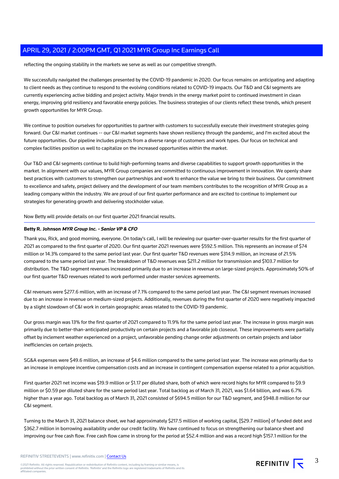reflecting the ongoing stability in the markets we serve as well as our competitive strength.

We successfully navigated the challenges presented by the COVID-19 pandemic in 2020. Our focus remains on anticipating and adapting to client needs as they continue to respond to the evolving conditions related to COVID-19 impacts. Our T&D and C&I segments are currently experiencing active bidding and project activity. Major trends in the energy market point to continued investment in clean energy, improving grid resiliency and favorable energy policies. The business strategies of our clients reflect these trends, which present growth opportunities for MYR Group.

We continue to position ourselves for opportunities to partner with customers to successfully execute their investment strategies going forward. Our C&I market continues -- our C&I market segments have shown resiliency through the pandemic, and I'm excited about the future opportunities. Our pipeline includes projects from a diverse range of customers and work types. Our focus on technical and complex facilities position us well to capitalize on the increased opportunities within the market.

Our T&D and C&I segments continue to build high-performing teams and diverse capabilities to support growth opportunities in the market. In alignment with our values, MYR Group companies are committed to continuous improvement in innovation. We openly share best practices with customers to strengthen our partnerships and work to enhance the value we bring to their business. Our commitment to excellence and safety, project delivery and the development of our team members contributes to the recognition of MYR Group as a leading company within the industry. We are proud of our first quarter performance and are excited to continue to implement our strategies for generating growth and delivering stockholder value.

Now Betty will provide details on our first quarter 2021 financial results.

# **Betty R. Johnson MYR Group Inc. - Senior VP & CFO**

Thank you, Rick, and good morning, everyone. On today's call, I will be reviewing our quarter-over-quarter results for the first quarter of 2021 as compared to the first quarter of 2020. Our first quarter 2021 revenues were \$592.5 million. This represents an increase of \$74 million or 14.3% compared to the same period last year. Our first quarter T&D revenues were \$314.9 million, an increase of 21.5% compared to the same period last year. The breakdown of T&D revenues was \$211.2 million for transmission and \$103.7 million for distribution. The T&D segment revenues increased primarily due to an increase in revenue on large-sized projects. Approximately 50% of our first quarter T&D revenues related to work performed under master services agreements.

C&I revenues were \$277.6 million, with an increase of 7.1% compared to the same period last year. The C&I segment revenues increased due to an increase in revenue on medium-sized projects. Additionally, revenues during the first quarter of 2020 were negatively impacted by a slight slowdown of C&I work in certain geographic areas related to the COVID-19 pandemic.

Our gross margin was 13% for the first quarter of 2021 compared to 11.9% for the same period last year. The increase in gross margin was primarily due to better-than-anticipated productivity on certain projects and a favorable job closeout. These improvements were partially offset by inclement weather experienced on a project, unfavorable pending change order adjustments on certain projects and labor inefficiencies on certain projects.

SG&A expenses were \$49.6 million, an increase of \$4.6 million compared to the same period last year. The increase was primarily due to an increase in employee incentive compensation costs and an increase in contingent compensation expense related to a prior acquisition.

First quarter 2021 net income was \$19.9 million or \$1.17 per diluted share, both of which were record highs for MYR compared to \$9.9 million or \$0.59 per diluted share for the same period last year. Total backlog as of March 31, 2021, was \$1.64 billion, and was 6.7% higher than a year ago. Total backlog as of March 31, 2021 consisted of \$694.5 million for our T&D segment, and \$948.8 million for our C&I segment.

Turning to the March 31, 2021 balance sheet, we had approximately \$217.5 million of working capital, [\$29.7 million] of funded debt and \$362.7 million in borrowing availability under our credit facility. We have continued to focus on strengthening our balance sheet and improving our free cash flow. Free cash flow came in strong for the period at \$52.4 million and was a record high \$157.1 million for the

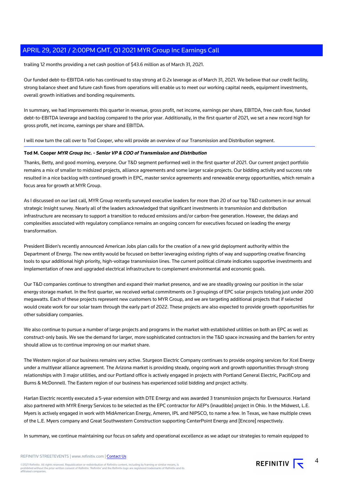trailing 12 months providing a net cash position of \$43.6 million as of March 31, 2021.

Our funded debt-to-EBITDA ratio has continued to stay strong at 0.2x leverage as of March 31, 2021. We believe that our credit facility, strong balance sheet and future cash flows from operations will enable us to meet our working capital needs, equipment investments, overall growth initiatives and bonding requirements.

In summary, we had improvements this quarter in revenue, gross profit, net income, earnings per share, EBITDA, free cash flow, funded debt-to-EBITDA leverage and backlog compared to the prior year. Additionally, in the first quarter of 2021, we set a new record high for gross profit, net income, earnings per share and EBITDA.

I will now turn the call over to Tod Cooper, who will provide an overview of our Transmission and Distribution segment.

# **Tod M. Cooper MYR Group Inc. - Senior VP & COO of Transmission and Distribution**

Thanks, Betty, and good morning, everyone. Our T&D segment performed well in the first quarter of 2021. Our current project portfolio remains a mix of smaller to midsized projects, alliance agreements and some larger scale projects. Our bidding activity and success rate resulted in a nice backlog with continued growth in EPC, master service agreements and renewable energy opportunities, which remain a focus area for growth at MYR Group.

As I discussed on our last call, MYR Group recently surveyed executive leaders for more than 20 of our top T&D customers in our annual strategic Insight survey. Nearly all of the leaders acknowledged that significant investments in transmission and distribution infrastructure are necessary to support a transition to reduced emissions and/or carbon-free generation. However, the delays and complexities associated with regulatory compliance remains an ongoing concern for executives focused on leading the energy transformation.

President Biden's recently announced American Jobs plan calls for the creation of a new grid deployment authority within the Department of Energy. The new entity would be focused on better leveraging existing rights of way and supporting creative financing tools to spur additional high priority, high-voltage transmission lines. The current political climate indicates supportive investments and implementation of new and upgraded electrical infrastructure to complement environmental and economic goals.

Our T&D companies continue to strengthen and expand their market presence, and we are steadily growing our position in the solar energy storage market. In the first quarter, we received verbal commitments on 3 groupings of EPC solar projects totaling just under 200 megawatts. Each of these projects represent new customers to MYR Group, and we are targeting additional projects that if selected would create work for our solar team through the early part of 2022. These projects are also expected to provide growth opportunities for other subsidiary companies.

We also continue to pursue a number of large projects and programs in the market with established utilities on both an EPC as well as construct-only basis. We see the demand for larger, more sophisticated contractors in the T&D space increasing and the barriers for entry should allow us to continue improving on our market share.

The Western region of our business remains very active. Sturgeon Electric Company continues to provide ongoing services for Xcel Energy under a multiyear alliance agreement. The Arizona market is providing steady, ongoing work and growth opportunities through strong relationships with 3 major utilities, and our Portland office is actively engaged in projects with Portland General Electric, PacifiCorp and Burns & McDonnell. The Eastern region of our business has experienced solid bidding and project activity.

Harlan Electric recently executed a 5-year extension with DTE Energy and was awarded 3 transmission projects for Eversource. Harland also partnered with MYR Energy Services to be selected as the EPC contractor for AEP's (inaudible) project in Ohio. In the Midwest, L.E. Myers is actively engaged in work with MidAmerican Energy, Ameren, IPL and NIPSCO, to name a few. In Texas, we have multiple crews of the L.E. Myers company and Great Southwestern Construction supporting CenterPoint Energy and [Encore] respectively.

In summary, we continue maintaining our focus on safety and operational excellence as we adapt our strategies to remain equipped to

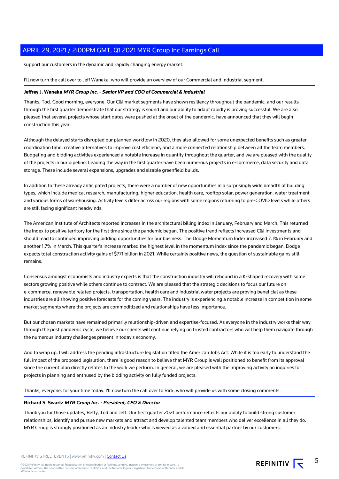support our customers in the dynamic and rapidly changing energy market.

I'll now turn the call over to Jeff Waneka, who will provide an overview of our Commercial and Industrial segment.

# **Jeffrey J. Waneka MYR Group Inc. - Senior VP and COO of Commercial & Industrial**

Thanks, Tod. Good morning, everyone. Our C&I market segments have shown resiliency throughout the pandemic, and our results through the first quarter demonstrate that our strategy is sound and our ability to adapt rapidly is proving successful. We are also pleased that several projects whose start dates were pushed at the onset of the pandemic, have announced that they will begin construction this year.

Although the delayed starts disrupted our planned workflow in 2020, they also allowed for some unexpected benefits such as greater coordination time, creative alternatives to improve cost efficiency and a more connected relationship between all the team members. Budgeting and bidding activities experienced a notable increase in quantity throughout the quarter, and we are pleased with the quality of the projects in our pipeline. Leading the way in the first quarter have been numerous projects in e-commerce, data security and data storage. These include several expansions, upgrades and sizable greenfield builds.

In addition to these already anticipated projects, there were a number of new opportunities in a surprisingly wide breadth of building types, which include medical research, manufacturing, higher education, health care, rooftop solar, power generation, water treatment and various forms of warehousing. Activity levels differ across our regions with some regions returning to pre-COVID levels while others are still facing significant headwinds.

The American Institute of Architects reported increases in the architectural billing index in January, February and March. This returned the index to positive territory for the first time since the pandemic began. The positive trend reflects increased C&I investments and should lead to continued improving bidding opportunities for our business. The Dodge Momentum Index increased 7.1% in February and another 1.7% in March. This quarter's increase marked the highest level in the momentum index since the pandemic began. Dodge expects total construction activity gains of \$771 billion in 2021. While certainly positive news, the question of sustainable gains still remains.

Consensus amongst economists and industry experts is that the construction industry will rebound in a K-shaped recovery with some sectors growing positive while others continue to contract. We are pleased that the strategic decisions to focus our future on e-commerce, renewable related projects, transportation, health care and industrial water projects are proving beneficial as these industries are all showing positive forecasts for the coming years. The industry is experiencing a notable increase in competition in some market segments where the projects are commoditized and relationships have less importance.

But our chosen markets have remained primarily relationship-driven and expertise-focused. As everyone in the industry works their way through the post pandemic cycle, we believe our clients will continue relying on trusted contractors who will help them navigate through the numerous industry challenges present in today's economy.

And to wrap up, I will address the pending infrastructure legislation titled the American Jobs Act. While it is too early to understand the full impact of the proposed legislation, there is good reason to believe that MYR Group is well positioned to benefit from its approval since the current plan directly relates to the work we perform. In general, we are pleased with the improving activity on inquiries for projects in planning and enthused by the bidding activity on fully funded projects.

Thanks, everyone, for your time today. I'll now turn the call over to Rick, who will provide us with some closing comments.

# **Richard S. Swartz MYR Group Inc. - President, CEO & Director**

Thank you for those updates, Betty, Tod and Jeff. Our first quarter 2021 performance reflects our ability to build strong customer relationships, identify and pursue new markets and attract and develop talented team members who deliver excellence in all they do. MYR Group is strongly positioned as an industry leader who is viewed as a valued and essential partner by our customers.

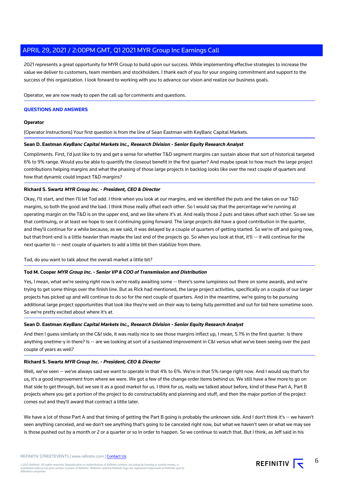2021 represents a great opportunity for MYR Group to build upon our success. While implementing effective strategies to increase the value we deliver to customers, team members and stockholders. I thank each of you for your ongoing commitment and support to the success of this organization. I look forward to working with you to advance our vision and realize our business goals.

Operator, we are now ready to open the call up for comments and questions.

# **QUESTIONS AND ANSWERS**

# **Operator**

(Operator Instructions) Your first question is from the line of Sean Eastman with KeyBanc Capital Markets.

# **Sean D. Eastman KeyBanc Capital Markets Inc., Research Division - Senior Equity Research Analyst**

Compliments. First, I'd just like to try and get a sense for whether T&D segment margins can sustain above that sort of historical targeted 6% to 9% range. Would you be able to quantify the closeout benefit in the first quarter? And maybe speak to how much the large project contributions helping margins and what the phasing of those large projects in backlog looks like over the next couple of quarters and how that dynamic could impact T&D margins?

# **Richard S. Swartz MYR Group Inc. - President, CEO & Director**

Okay, I'll start, and then I'll let Tod add. I think when you look at our margins, and we identified the puts and the takes on our T&D margins, so both the good and the bad. I think those really offset each other. So I would say that the percentage we're running at operating margin on the T&D is on the upper end, and we like where it's at. And really those 2 puts and takes offset each other. So we see that continuing, or at least we hope to see it continuing going forward. The large projects did have a good contribution in the quarter, and they'll continue for a while because, as we said, it was delayed by a couple of quarters of getting started. So we're off and going now, but that front-end is a little heavier than maybe the last end of the projects go. So when you look at that, it'll -- it will continue for the next quarter to -- next couple of quarters to add a little bit then stabilize from there.

Tod, do you want to talk about the overall market a little bit?

#### **Tod M. Cooper MYR Group Inc. - Senior VP & COO of Transmission and Distribution**

Yes, I mean, what we're seeing right now is we're really awaiting some -- there's some lumpiness out there on some awards, and we're trying to get some things over the finish line. But as Rick had mentioned, the large project activities, specifically on a couple of our larger projects has picked up and will continue to do so for the next couple of quarters. And in the meantime, we're going to be pursuing additional large project opportunities that look like they're well on their way to being fully permitted and out for bid here sometime soon. So we're pretty excited about where it's at.

#### **Sean D. Eastman KeyBanc Capital Markets Inc., Research Division - Senior Equity Research Analyst**

And then I guess similarly on the C&I side, it was really nice to see those margins inflect up, I mean, 5.1% in the first quarter. Is there anything onetime-y in there? Is -- are we looking at sort of a sustained improvement in C&I versus what we've been seeing over the past couple of years as well?

#### **Richard S. Swartz MYR Group Inc. - President, CEO & Director**

Well, we've seen -- we've always said we want to operate in that 4% to 6%. We're in that 5% range right now. And I would say that's for us, it's a good improvement from where we were. We got a few of the change order items behind us. We still have a few more to go on that side to get through, but we see it as a good market for us. I think for us, really we talked about before, kind of these Part A, Part B projects where you get a portion of the project to do constructability and planning and stuff, and then the major portion of the project comes out and they'll award that contract a little later.

We have a lot of those Part A and that timing of getting the Part B going is probably the unknown side. And I don't think it's -- we haven't seen anything canceled, and we don't see anything that's going to be canceled right now, but what we haven't seen or what we may see is those pushed out by a month or 2 or a quarter or so in order to happen. So we continue to watch that. But I think, as Jeff said in his

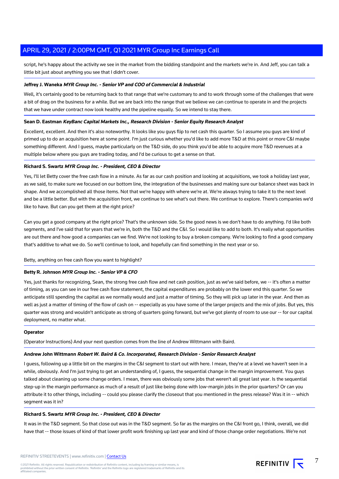script, he's happy about the activity we see in the market from the bidding standpoint and the markets we're in. And Jeff, you can talk a little bit just about anything you see that I didn't cover.

# **Jeffrey J. Waneka MYR Group Inc. - Senior VP and COO of Commercial & Industrial**

Well, it's certainly good to be returning back to that range that we're customary to and to work through some of the challenges that were a bit of drag on the business for a while. But we are back into the range that we believe we can continue to operate in and the projects that we have under contract now look healthy and the pipeline equally. So we intend to stay there.

# **Sean D. Eastman KeyBanc Capital Markets Inc., Research Division - Senior Equity Research Analyst**

Excellent, excellent. And then it's also noteworthy. It looks like you guys flip to net cash this quarter. So I assume you guys are kind of primed up to do an acquisition here at some point. I'm just curious whether you'd like to add more T&D at this point or more C&I maybe something different. And I guess, maybe particularly on the T&D side, do you think you'd be able to acquire more T&D revenues at a multiple below where you guys are trading today, and I'd be curious to get a sense on that.

# **Richard S. Swartz MYR Group Inc. - President, CEO & Director**

Yes, I'll let Betty cover the free cash flow in a minute. As far as our cash position and looking at acquisitions, we took a holiday last year, as we said, to make sure we focused on our bottom line, the integration of the businesses and making sure our balance sheet was back in shape. And we accomplished all those items. Not that we're happy with where we're at. We're always trying to take it to the next level and be a little better. But with the acquisition front, we continue to see what's out there. We continue to explore. There's companies we'd like to have. But can you get them at the right price?

Can you get a good company at the right price? That's the unknown side. So the good news is we don't have to do anything. I'd like both segments, and I've said that for years that we're in, both the T&D and the C&I. So I would like to add to both. It's really what opportunities are out there and how good a companies can we find. We're not looking to buy a broken company. We're looking to find a good company that's additive to what we do. So we'll continue to look, and hopefully can find something in the next year or so.

#### Betty, anything on free cash flow you want to highlight?

# **Betty R. Johnson MYR Group Inc. - Senior VP & CFO**

Yes, just thanks for recognizing, Sean, the strong free cash flow and net cash position, just as we've said before, we -- it's often a matter of timing, as you can see in our free cash flow statement, the capital expenditures are probably on the lower end this quarter. So we anticipate still spending the capital as we normally would and just a matter of timing. So they will pick up later in the year. And then as well as just a matter of timing of the flow of cash on -- especially as you have some of the larger projects and the mix of jobs. But yes, this quarter was strong and wouldn't anticipate as strong of quarters going forward, but we've got plenty of room to use our -- for our capital deployment, no matter what.

# **Operator**

(Operator Instructions) And your next question comes from the line of Andrew Wittmann with Baird.

#### **Andrew John Wittmann Robert W. Baird & Co. Incorporated, Research Division - Senior Research Analyst**

I guess, following up a little bit on the margins in the C&I segment to start out with here. I mean, they're at a level we haven't seen in a while, obviously. And I'm just trying to get an understanding of, I guess, the sequential change in the margin improvement. You guys talked about cleaning up some change orders. I mean, there was obviously some jobs that weren't all great last year. Is the sequential step-up in the margin performance as much of a result of just like being done with low-margin jobs in the prior quarters? Or can you attribute it to other things, including -- could you please clarify the closeout that you mentioned in the press release? Was it in -- which segment was it in?

# **Richard S. Swartz MYR Group Inc. - President, CEO & Director**

It was in the T&D segment. So that close out was in the T&D segment. So far as the margins on the C&I front go, I think, overall, we did have that -- those issues of kind of that lower profit work finishing up last year and kind of those change order negotiations. We're not

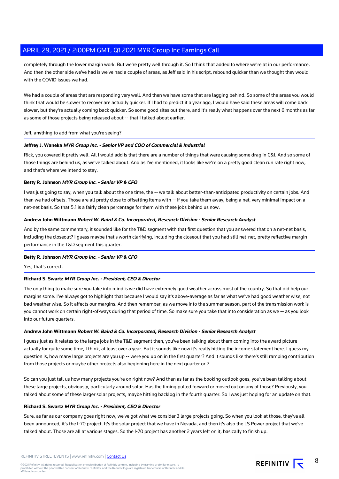completely through the lower margin work. But we're pretty well through it. So I think that added to where we're at in our performance. And then the other side we've had is we've had a couple of areas, as Jeff said in his script, rebound quicker than we thought they would with the COVID issues we had.

We had a couple of areas that are responding very well. And then we have some that are lagging behind. So some of the areas you would think that would be slower to recover are actually quicker. If I had to predict it a year ago, I would have said these areas will come back slower, but they're actually coming back quicker. So some good sites out there, and it's really what happens over the next 6 months as far as some of those projects being released about -- that I talked about earlier.

# Jeff, anything to add from what you're seeing?

# **Jeffrey J. Waneka MYR Group Inc. - Senior VP and COO of Commercial & Industrial**

Rick, you covered it pretty well. All I would add is that there are a number of things that were causing some drag in C&I. And so some of those things are behind us, as we've talked about. And as I've mentioned, it looks like we're on a pretty good clean run rate right now, and that's where we intend to stay.

# **Betty R. Johnson MYR Group Inc. - Senior VP & CFO**

I was just going to say, when you talk about the one time, the -- we talk about better-than-anticipated productivity on certain jobs. And then we had offsets. Those are all pretty close to offsetting items with -- if you take them away, being a net, very minimal impact on a net-net basis. So that 5.1 is a fairly clean percentage for them with these jobs behind us now.

# **Andrew John Wittmann Robert W. Baird & Co. Incorporated, Research Division - Senior Research Analyst**

And by the same commentary, it sounded like for the T&D segment with that first question that you answered that on a net-net basis, including the closeout? I guess maybe that's worth clarifying, including the closeout that you had still net-net, pretty reflective margin performance in the T&D segment this quarter.

#### **Betty R. Johnson MYR Group Inc. - Senior VP & CFO**

Yes, that's correct.

#### **Richard S. Swartz MYR Group Inc. - President, CEO & Director**

The only thing to make sure you take into mind is we did have extremely good weather across most of the country. So that did help our margins some. I've always got to highlight that because I would say it's above-average as far as what we've had good weather wise, not bad weather wise. So it affects our margins. And then remember, as we move into the summer season, part of the transmission work is you cannot work on certain right-of-ways during that period of time. So make sure you take that into consideration as we -- as you look into our future quarters.

#### **Andrew John Wittmann Robert W. Baird & Co. Incorporated, Research Division - Senior Research Analyst**

I guess just as it relates to the large jobs in the T&D segment then, you've been talking about them coming into the award picture actually for quite some time, I think, at least over a year. But it sounds like now it's really hitting the income statement here. I guess my question is, how many large projects are you up -- were you up on in the first quarter? And it sounds like there's still ramping contribution from those projects or maybe other projects also beginning here in the next quarter or 2.

So can you just tell us how many projects you're on right now? And then as far as the booking outlook goes, you've been talking about these large projects, obviously, particularly around solar. Has the timing pulled forward or moved out on any of those? Previously, you talked about some of these larger solar projects, maybe hitting backlog in the fourth quarter. So I was just hoping for an update on that.

# **Richard S. Swartz MYR Group Inc. - President, CEO & Director**

Sure, as far as our company goes right now, we've got what we consider 3 large projects going. So when you look at those, they've all been announced, it's the I-70 project. It's the solar project that we have in Nevada, and then it's also the LS Power project that we've talked about. Those are all at various stages. So the I-70 project has another 2 years left on it, basically to finish up.

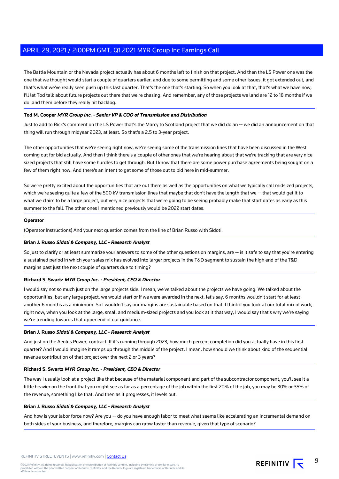The Battle Mountain or the Nevada project actually has about 6 months left to finish on that project. And then the LS Power one was the one that we thought would start a couple of quarters earlier, and due to some permitting and some other issues, it got extended out, and that's what we've really seen push up this last quarter. That's the one that's starting. So when you look at that, that's what we have now, I'll let Tod talk about future projects out there that we're chasing. And remember, any of those projects we land are 12 to 18 months if we do land them before they really hit backlog.

# **Tod M. Cooper MYR Group Inc. - Senior VP & COO of Transmission and Distribution**

Just to add to Rick's comment on the LS Power that's the Marcy to Scotland project that we did do an -- we did an announcement on that thing will run through midyear 2023, at least. So that's a 2.5 to 3-year project.

The other opportunities that we're seeing right now, we're seeing some of the transmission lines that have been discussed in the West coming out for bid actually. And then I think there's a couple of other ones that we're hearing about that we're tracking that are very nice sized projects that still have some hurdles to get through. But I know that there are some power purchase agreements being sought on a few of them right now. And there's an intent to get some of those out to bid here in mid-summer.

So we're pretty excited about the opportunities that are out there as well as the opportunities on what we typically call midsized projects, which we're seeing quite a few of the 500 kV transmission lines that maybe that don't have the length that we -- that would get it to what we claim to be a large project, but very nice projects that we're going to be seeing probably make that start dates as early as this summer to the fall. The other ones I mentioned previously would be 2022 start dates.

# **Operator**

(Operator Instructions) And your next question comes from the line of Brian Russo with Sidoti.

# **Brian J. Russo Sidoti & Company, LLC - Research Analyst**

So just to clarify or at least summarize your answers to some of the other questions on margins, are -- is it safe to say that you're entering a sustained period in which your sales mix has evolved into larger projects in the T&D segment to sustain the high end of the T&D margins past just the next couple of quarters due to timing?

# **Richard S. Swartz MYR Group Inc. - President, CEO & Director**

I would say not so much just on the large projects side. I mean, we've talked about the projects we have going. We talked about the opportunities, but any large project, we would start or if we were awarded in the next, let's say, 6 months wouldn't start for at least another 6 months as a minimum. So I wouldn't say our margins are sustainable based on that. I think if you look at our total mix of work, right now, when you look at the large, small and medium-sized projects and you look at it that way, I would say that's why we're saying we're trending towards that upper end of our guidance.

# **Brian J. Russo Sidoti & Company, LLC - Research Analyst**

And just on the Aeolus Power, contract. If it's running through 2023, how much percent completion did you actually have in this first quarter? And I would imagine it ramps up through the middle of the project. I mean, how should we think about kind of the sequential revenue contribution of that project over the next 2 or 3 years?

# **Richard S. Swartz MYR Group Inc. - President, CEO & Director**

The way I usually look at a project like that because of the material component and part of the subcontractor component, you'll see it a little heavier on the front that you might see as far as a percentage of the job within the first 20% of the job, you may be 30% or 35% of the revenue, something like that. And then as it progresses, it levels out.

# **Brian J. Russo Sidoti & Company, LLC - Research Analyst**

And how is your labor force now? Are you -- do you have enough labor to meet what seems like accelerating an incremental demand on both sides of your business, and therefore, margins can grow faster than revenue, given that type of scenario?

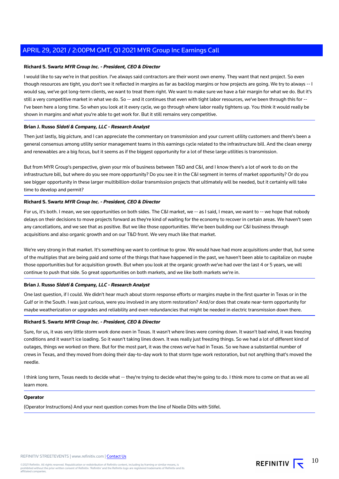# **Richard S. Swartz MYR Group Inc. - President, CEO & Director**

I would like to say we're in that position. I've always said contractors are their worst own enemy. They want that next project. So even though resources are tight, you don't see it reflected in margins as far as backlog margins or how projects are going. We try to always -- I would say, we've got long-term clients, we want to treat them right. We want to make sure we have a fair margin for what we do. But it's still a very competitive market in what we do. So -- and it continues that even with tight labor resources, we've been through this for --I've been here a long time. So when you look at it every cycle, we go through where labor really tightens up. You think it would really be shown in margins and what you're able to get work for. But it still remains very competitive.

# **Brian J. Russo Sidoti & Company, LLC - Research Analyst**

Then just lastly, big picture, and I can appreciate the commentary on transmission and your current utility customers and there's been a general consensus among utility senior management teams in this earnings cycle related to the infrastructure bill. And the clean energy and renewables are a big focus, but it seems as if the biggest opportunity for a lot of these large utilities is transmission.

But from MYR Group's perspective, given your mix of business between T&D and C&I, and I know there's a lot of work to do on the infrastructure bill, but where do you see more opportunity? Do you see it in the C&I segment in terms of market opportunity? Or do you see bigger opportunity in these larger multibillion-dollar transmission projects that ultimately will be needed, but it certainly will take time to develop and permit?

# **Richard S. Swartz MYR Group Inc. - President, CEO & Director**

For us, it's both. I mean, we see opportunities on both sides. The C&I market, we -- as I said, I mean, we want to -- we hope that nobody delays on their decisions to move projects forward as they're kind of waiting for the economy to recover in certain areas. We haven't seen any cancellations, and we see that as positive. But we like those opportunities. We've been building our C&I business through acquisitions and also organic growth and on our T&D front. We very much like that market.

We're very strong in that market. It's something we want to continue to grow. We would have had more acquisitions under that, but some of the multiples that are being paid and some of the things that have happened in the past, we haven't been able to capitalize on maybe those opportunities but for acquisition growth. But when you look at the organic growth we've had over the last 4 or 5 years, we will continue to push that side. So great opportunities on both markets, and we like both markets we're in.

#### **Brian J. Russo Sidoti & Company, LLC - Research Analyst**

One last question, if I could. We didn't hear much about storm response efforts or margins maybe in the first quarter in Texas or in the Gulf or in the South. I was just curious, were you involved in any storm restoration? And/or does that create near-term opportunity for maybe weatherization or upgrades and reliability and even redundancies that might be needed in electric transmission down there.

#### **Richard S. Swartz MYR Group Inc. - President, CEO & Director**

Sure, for us, it was very little storm work done even in Texas. It wasn't where lines were coming down. It wasn't bad wind, it was freezing conditions and it wasn't ice loading. So it wasn't taking lines down. It was really just freezing things. So we had a lot of different kind of outages, things we worked on there. But for the most part, it was the crews we've had in Texas. So we have a substantial number of crews in Texas, and they moved from doing their day-to-day work to that storm type work restoration, but not anything that's moved the needle.

I think long term, Texas needs to decide what -- they're trying to decide what they're going to do. I think more to come on that as we all learn more.

#### **Operator**

(Operator Instructions) And your next question comes from the line of Noelle Dilts with Stifel.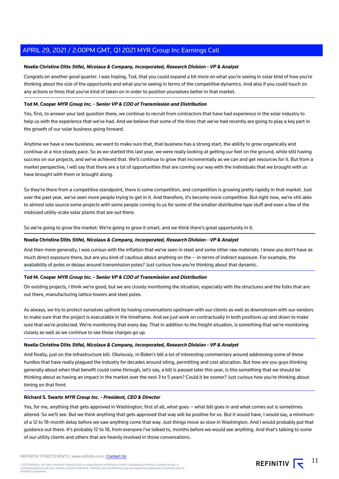# **Noelle Christine Dilts Stifel, Nicolaus & Company, Incorporated, Research Division - VP & Analyst**

Congrats on another good quarter. I was hoping, Tod, that you could expand a bit more on what you're seeing in solar kind of how you're thinking about the size of the opportunity and what you're seeing in terms of the competitive dynamics. And also if you could touch on any actions or hires that you've kind of taken on in order to position yourselves better in that market.

# **Tod M. Cooper MYR Group Inc. - Senior VP & COO of Transmission and Distribution**

Yes, first, to answer your last question there, we continue to recruit from contractors that have had experience in the solar industry to help us with the experience that we've had. And we believe that some of the hires that we've had recently are going to play a key part in the growth of our solar business going forward.

Anytime we have a new business, we want to make sure that, that business has a strong start, the ability to grow organically and continue at a nice steady pace. So as we started this last year, we were really looking at getting our feet on the ground, while still having success on our projects, and we've achieved that. We'll continue to grow that incrementally as we can and get resources for it. But from a market perspective, I will say that there are a lot of opportunities that are coming our way with the individuals that we brought with us have brought with them or brought along.

So they're there from a competitive standpoint, there is some competition, and competition is growing pretty rapidly in that market. Just over the past year, we've seen more people trying to get in it. And therefore, it's become more competitive. But right now, we're still able to almost sole source some projects with some people coming to us for some of the smaller distributive type stuff and even a few of the midsized utility-scale solar plants that are out there.

So we're going to grow the market. We're going to grow it smart, and we think there's great opportunity in it.

#### **Noelle Christine Dilts Stifel, Nicolaus & Company, Incorporated, Research Division - VP & Analyst**

And then more generally, I was curious with the inflation that we've seen in steel and some other raw materials. I know you don't have as much direct exposure there, but are you kind of cautious about anything on the -- in terms of indirect exposure. For example, the availability of poles or delays around transmission poles? Just curious how you're thinking about that dynamic.

#### **Tod M. Cooper MYR Group Inc. - Senior VP & COO of Transmission and Distribution**

On existing projects, I think we're good, but we are closely monitoring the situation, especially with the structures and the folks that are out there, manufacturing lattice towers and steel poles.

As always, we try to protect ourselves upfront by having conversations upstream with our clients as well as downstream with our vendors to make sure that the project is executable in the timeframe. And we just work on contractually in both positions up and down to make sure that we're protected. We're monitoring that every day. That in addition to the freight situation, is something that we're monitoring closely as well as we continue to see those charges go up.

#### **Noelle Christine Dilts Stifel, Nicolaus & Company, Incorporated, Research Division - VP & Analyst**

And finally, just on the infrastructure bill. Obviously, in Biden's bill a lot of interesting commentary around addressing some of these hurdles that have really plagued the industry for decades around siting, permitting and cost allocation. But how are you guys thinking generally about when that benefit could come through, let's say, a bill is passed later this year, is this something that we should be thinking about as having an impact in the market over the next 3 to 5 years? Could it be sooner? Just curious how you're thinking about timing on that front.

#### **Richard S. Swartz MYR Group Inc. - President, CEO & Director**

Yes, for me, anything that gets approved in Washington, first of all, what goes -- what bill goes in and what comes out is sometimes altered. So we'll see. But we think anything that gets approved that way will be positive for us. But it would have, I would say, a minimum of a 12 to 18-month delay before we saw anything come that way. Just things move so slow in Washington. And I would probably put that guidance out there. It's probably 12 to 18, from everyone I've talked to, months before we would see anything. And that's talking to some of our utility clients and others that are heavily involved in those conversations.